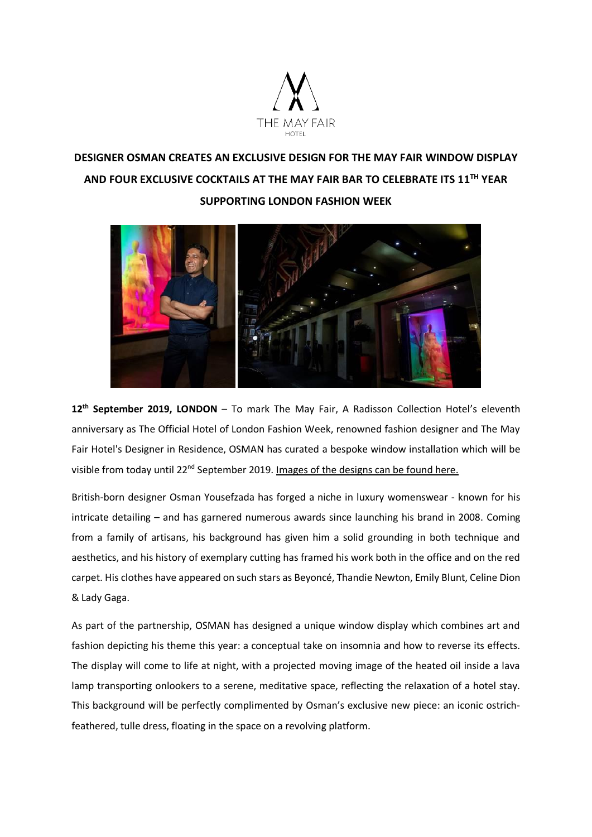

# **DESIGNER OSMAN CREATES AN EXCLUSIVE DESIGN FOR THE MAY FAIR WINDOW DISPLAY AND FOUR EXCLUSIVE COCKTAILS AT THE MAY FAIR BAR TO CELEBRATE ITS 11TH YEAR SUPPORTING LONDON FASHION WEEK**



**12 th September 2019, LONDON** – To mark The May Fair, A Radisson Collection Hotel's eleventh anniversary as The Official Hotel of London Fashion Week, renowned fashion designer and The May Fair Hotel's Designer in Residence, OSMAN has curated a bespoke window installation which will be visible from today until 22<sup>nd</sup> September 2019. [Images of the designs can be found here.](https://wetransfer.com/downloads/a7198896ae27a72168b6058f32f395c220190911202023/62ca69be05748cb6ff7586e0fd46361e20190911202023/d093e5)

British-born designer Osman Yousefzada has forged a niche in luxury womenswear - known for his intricate detailing – and has garnered numerous awards since launching his brand in 2008. Coming from a family of artisans, his background has given him a solid grounding in both technique and aesthetics, and his history of exemplary cutting has framed his work both in the office and on the red carpet. His clothes have appeared on such stars as Beyoncé, Thandie Newton, Emily Blunt, Celine Dion & Lady Gaga.

As part of the partnership, OSMAN has designed a unique window display which combines art and fashion depicting his theme this year: a conceptual take on insomnia and how to reverse its effects. The display will come to life at night, with a projected moving image of the heated oil inside a lava lamp transporting onlookers to a serene, meditative space, reflecting the relaxation of a hotel stay. This background will be perfectly complimented by Osman's exclusive new piece: an iconic ostrichfeathered, tulle dress, floating in the space on a revolving platform.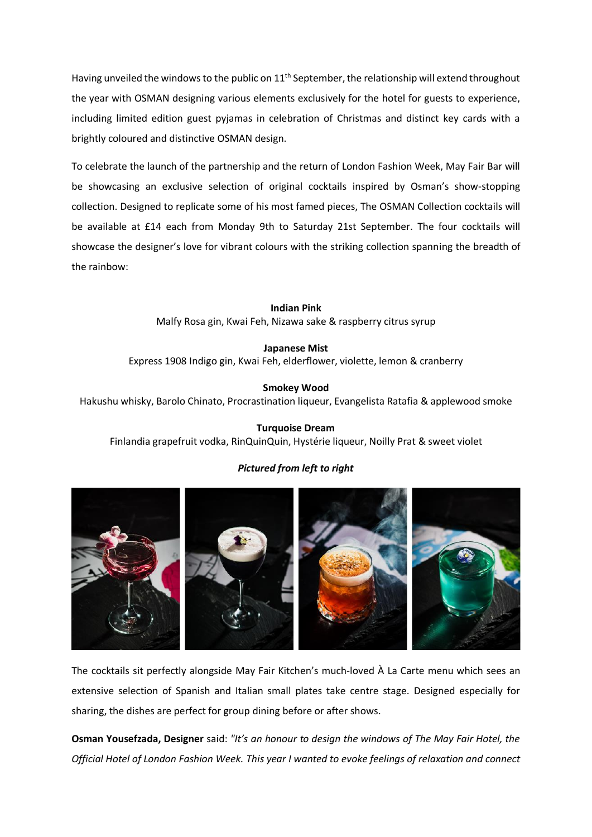Having unveiled the windows to the public on 11<sup>th</sup> September, the relationship will extend throughout the year with OSMAN designing various elements exclusively for the hotel for guests to experience, including limited edition guest pyjamas in celebration of Christmas and distinct key cards with a brightly coloured and distinctive OSMAN design.

To celebrate the launch of the partnership and the return of London Fashion Week, May Fair Bar will be showcasing an exclusive selection of original cocktails inspired by Osman's show-stopping collection. Designed to replicate some of his most famed pieces, The OSMAN Collection cocktails will be available at £14 each from Monday 9th to Saturday 21st September. The four cocktails will showcase the designer's love for vibrant colours with the striking collection spanning the breadth of the rainbow:

> **Indian Pink** Malfy Rosa gin, Kwai Feh, Nizawa sake & raspberry citrus syrup

**Japanese Mist** Express 1908 Indigo gin, Kwai Feh, elderflower, violette, lemon & cranberry

**Smokey Wood**

Hakushu whisky, Barolo Chinato, Procrastination liqueur, Evangelista Ratafia & applewood smoke

**Turquoise Dream** Finlandia grapefruit vodka, RinQuinQuin, Hystérie liqueur, Noilly Prat & sweet violet

# *Pictured from left to right*



The cocktails sit perfectly alongside May Fair Kitchen's much-loved À La Carte menu which sees an extensive selection of Spanish and Italian small plates take centre stage. Designed especially for sharing, the dishes are perfect for group dining before or after shows.

**Osman Yousefzada, Designer** said: *"It's an honour to design the windows of The May Fair Hotel, the Official Hotel of London Fashion Week. This year I wanted to evoke feelings of relaxation and connect*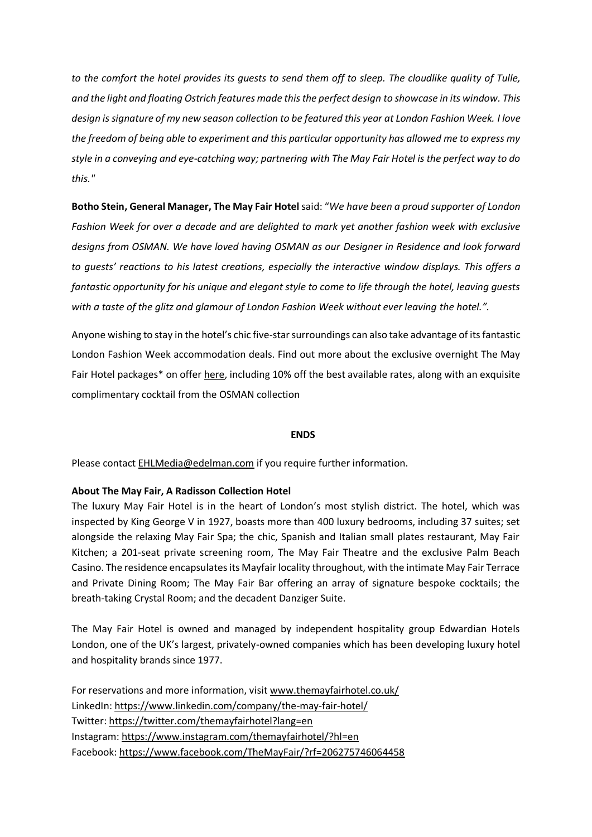*to the comfort the hotel provides its guests to send them off to sleep. The cloudlike quality of Tulle, and the light and floating Ostrich features made this the perfect design to showcase in its window. This design is signature of my new season collection to be featured this year at London Fashion Week. I love the freedom of being able to experiment and this particular opportunity has allowed me to express my style in a conveying and eye-catching way; partnering with The May Fair Hotel is the perfect way to do this."*

**Botho Stein, General Manager, The May Fair Hotel** said: "*We have been a proud supporter of London Fashion Week for over a decade and are delighted to mark yet another fashion week with exclusive designs from OSMAN. We have loved having OSMAN as our Designer in Residence and look forward to guests' reactions to his latest creations, especially the interactive window displays. This offers a fantastic opportunity for his unique and elegant style to come to life through the hotel, leaving guests with a taste of the glitz and glamour of London Fashion Week without ever leaving the hotel.".* 

Anyone wishing to stay in the hotel's chic five-star surroundings can also take advantage of its fantastic London Fashion Week accommodation deals. Find out more about the exclusive overnight The May Fair Hotel packages\* on offer [here,](https://www.themayfairhotel.co.uk/london-fashion-week-19) including 10% off the best available rates, along with an exquisite complimentary cocktail from the OSMAN collection

#### **ENDS**

Please contact [EHLMedia@edelman.com](mailto:EHLMedia@edelman.com) if you require further information.

#### **About The May Fair, A Radisson Collection Hotel**

The luxury May Fair Hotel is in the heart of London's most stylish district. The hotel, which was inspected by King George V in 1927, boasts more than 400 luxury bedrooms, including 37 suites; set alongside the relaxing May Fair Spa; the chic, Spanish and Italian small plates restaurant, May Fair Kitchen; a 201-seat private screening room, The May Fair Theatre and the exclusive Palm Beach Casino. The residence encapsulates its Mayfair locality throughout, with the intimate May Fair Terrace and Private Dining Room; The May Fair Bar offering an array of signature bespoke cocktails; the breath-taking Crystal Room; and the decadent Danziger Suite.

The May Fair Hotel is owned and managed by independent hospitality group Edwardian Hotels London, one of the UK's largest, privately-owned companies which has been developing luxury hotel and hospitality brands since 1977.

For reservations and more information, visit [www.themayfairhotel.co.uk/](http://www.themayfairhotel.co.uk/) LinkedIn: <https://www.linkedin.com/company/the-may-fair-hotel/> Twitter: <https://twitter.com/themayfairhotel?lang=en> Instagram: <https://www.instagram.com/themayfairhotel/?hl=en> Facebook: <https://www.facebook.com/TheMayFair/?rf=206275746064458>